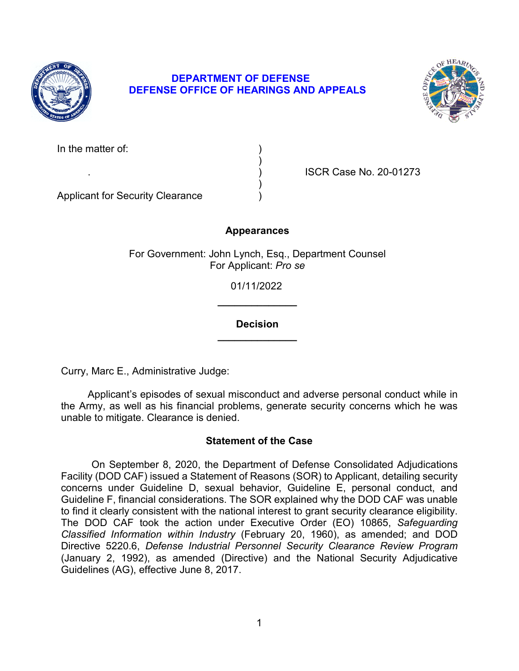

# **DEPARTMENT OF DEFENSE DEFENSE OFFICE OF HEARINGS AND APPEALS**



| In the matter of: |  |
|-------------------|--|
|-------------------|--|

. ) ISCR Case No. 20-01273

Applicant for Security Clearance )

## **Appearances**

)

)

For Government: John Lynch, Esq., Department Counsel For Applicant: *Pro se* 

> **\_\_\_\_\_\_\_\_\_\_\_\_\_\_**  01/11/2022

> **\_\_\_\_\_\_\_\_\_\_\_\_\_\_ Decision**

Curry, Marc E., Administrative Judge:

 Applicant's episodes of sexual misconduct and adverse personal conduct while in the Army, as well as his financial problems, generate security concerns which he was unable to mitigate. Clearance is denied.

### **Statement of the Case**

 Guideline F, financial considerations. The SOR explained why the DOD CAF was unable The DOD CAF took the action under Executive Order (EO) 10865, *Safeguarding Classified Information within Industry* (February 20, 1960), as amended; and DOD On September 8, 2020, the Department of Defense Consolidated Adjudications Facility (DOD CAF) issued a Statement of Reasons (SOR) to Applicant, detailing security concerns under Guideline D, sexual behavior, Guideline E, personal conduct, and to find it clearly consistent with the national interest to grant security clearance eligibility. Directive 5220.6, *Defense Industrial Personnel Security Clearance Review Program*  (January 2, 1992), as amended (Directive) and the National Security Adjudicative Guidelines (AG), effective June 8, 2017.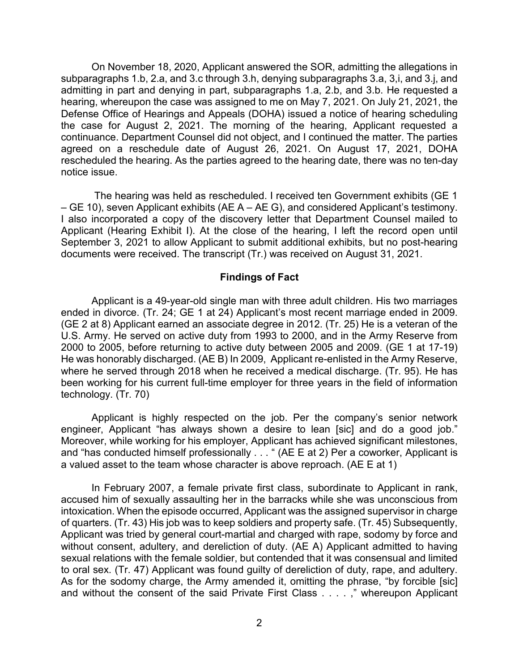On November 18, 2020, Applicant answered the SOR, admitting the allegations in subparagraphs 1.b, 2.a, and 3.c through 3.h, denying subparagraphs 3.a, 3,i, and 3.j, and Defense Office of Hearings and Appeals (DOHA) issued a notice of hearing scheduling the case for August 2, 2021. The morning of the hearing, Applicant requested a agreed on a reschedule date of August 26, 2021. On August 17, 2021, DOHA admitting in part and denying in part, subparagraphs 1.a, 2.b, and 3.b. He requested a hearing, whereupon the case was assigned to me on May 7, 2021. On July 21, 2021, the continuance. Department Counsel did not object, and I continued the matter. The parties rescheduled the hearing. As the parties agreed to the hearing date, there was no ten-day notice issue.

The hearing was held as rescheduled. I received ten Government exhibits (GE 1 – GE 10), seven Applicant exhibits (AE A – AE G), and considered Applicant's testimony. I also incorporated a copy of the discovery letter that Department Counsel mailed to Applicant (Hearing Exhibit I). At the close of the hearing, I left the record open until September 3, 2021 to allow Applicant to submit additional exhibits, but no post-hearing documents were received. The transcript (Tr.) was received on August 31, 2021.

#### **Findings of Fact**

Applicant is a 49-year-old single man with three adult children. His two marriages ended in divorce. (Tr. 24; GE 1 at 24) Applicant's most recent marriage ended in 2009. (GE 2 at 8) Applicant earned an associate degree in 2012. (Tr. 25) He is a veteran of the U.S. Army. He served on active duty from 1993 to 2000, and in the Army Reserve from 2000 to 2005, before returning to active duty between 2005 and 2009. (GE 1 at 17-19) He was honorably discharged. (AE B) In 2009, Applicant re-enlisted in the Army Reserve, where he served through 2018 when he received a medical discharge. (Tr. 95). He has been working for his current full-time employer for three years in the field of information technology. (Tr. 70)

 Applicant is highly respected on the job. Per the company's senior network and "has conducted himself professionally . . . " (AE E at 2) Per a coworker, Applicant is a valued asset to the team whose character is above reproach. (AE E at 1) engineer, Applicant "has always shown a desire to lean [sic] and do a good job." Moreover, while working for his employer, Applicant has achieved significant milestones,

 In February 2007, a female private first class, subordinate to Applicant in rank, Applicant was tried by general court-martial and charged with rape, sodomy by force and sexual relations with the female soldier, but contended that it was consensual and limited As for the sodomy charge, the Army amended it, omitting the phrase, "by forcible [sic] accused him of sexually assaulting her in the barracks while she was unconscious from intoxication. When the episode occurred, Applicant was the assigned supervisor in charge of quarters. (Tr. 43) His job was to keep soldiers and property safe. (Tr. 45) Subsequently, without consent, adultery, and dereliction of duty. (AE A) Applicant admitted to having to oral sex. (Tr. 47) Applicant was found guilty of dereliction of duty, rape, and adultery. and without the consent of the said Private First Class . . . . ," whereupon Applicant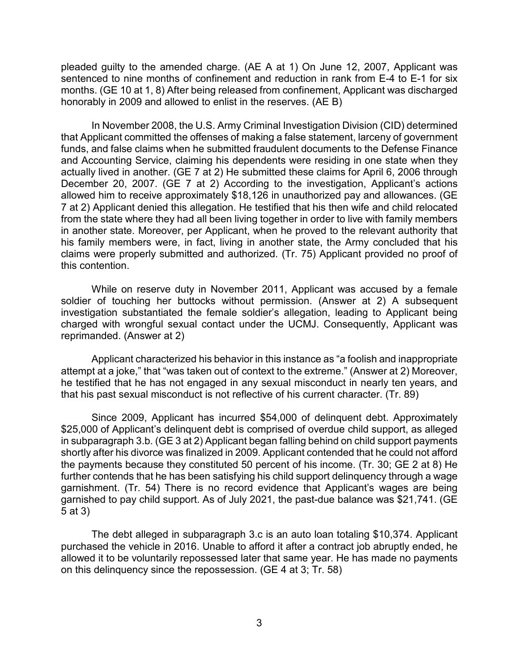sentenced to nine months of confinement and reduction in rank from E-4 to E-1 for six months. (GE 10 at 1, 8) After being released from confinement, Applicant was discharged honorably in 2009 and allowed to enlist in the reserves. (AE B) pleaded guilty to the amended charge. (AE A at 1) On June 12, 2007, Applicant was

 In November 2008, the U.S. Army Criminal Investigation Division (CID) determined actually lived in another. (GE 7 at 2) He submitted these claims for April 6, 2006 through December 20, 2007. (GE 7 at 2) According to the investigation, Applicant's actions claims were properly submitted and authorized. (Tr. 75) Applicant provided no proof of that Applicant committed the offenses of making a false statement, larceny of government funds, and false claims when he submitted fraudulent documents to the Defense Finance and Accounting Service, claiming his dependents were residing in one state when they allowed him to receive approximately \$18,126 in unauthorized pay and allowances. (GE 7 at 2) Applicant denied this allegation. He testified that his then wife and child relocated from the state where they had all been living together in order to live with family members in another state. Moreover, per Applicant, when he proved to the relevant authority that his family members were, in fact, living in another state, the Army concluded that his this contention.

While on reserve duty in November 2011, Applicant was accused by a female soldier of touching her buttocks without permission. (Answer at 2) A subsequent investigation substantiated the female soldier's allegation, leading to Applicant being charged with wrongful sexual contact under the UCMJ. Consequently, Applicant was reprimanded. (Answer at 2)

 he testified that he has not engaged in any sexual misconduct in nearly ten years, and Applicant characterized his behavior in this instance as "a foolish and inappropriate attempt at a joke," that "was taken out of context to the extreme." (Answer at 2) Moreover, that his past sexual misconduct is not reflective of his current character. (Tr. 89)

 \$25,000 of Applicant's delinquent debt is comprised of overdue child support, as alleged shortly after his divorce was finalized in 2009. Applicant contended that he could not afford the payments because they constituted 50 percent of his income. (Tr. 30; GE 2 at 8) He garnished to pay child support. As of July 2021, the past-due balance was \$21,741. (GE Since 2009, Applicant has incurred \$54,000 of delinquent debt. Approximately in subparagraph 3.b. (GE 3 at 2) Applicant began falling behind on child support payments further contends that he has been satisfying his child support delinquency through a wage garnishment. (Tr. 54) There is no record evidence that Applicant's wages are being 5 at 3)

 The debt alleged in subparagraph 3.c is an auto loan totaling \$10,374. Applicant on this delinquency since the repossession. (GE 4 at 3; Tr. 58) purchased the vehicle in 2016. Unable to afford it after a contract job abruptly ended, he allowed it to be voluntarily repossessed later that same year. He has made no payments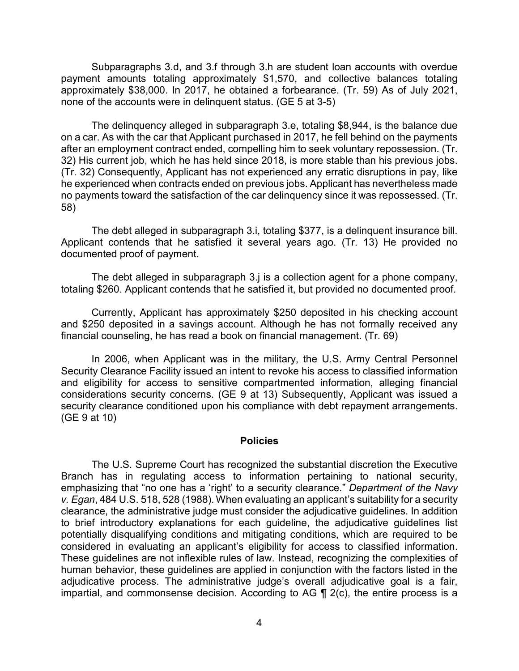Subparagraphs 3.d, and 3.f through 3.h are student loan accounts with overdue payment amounts totaling approximately \$1,570, and collective balances totaling approximately \$38,000. In 2017, he obtained a forbearance. (Tr. 59) As of July 2021, none of the accounts were in delinquent status. (GE 5 at 3-5)

The delinquency alleged in subparagraph 3.e, totaling \$8,944, is the balance due on a car. As with the car that Applicant purchased in 2017, he fell behind on the payments after an employment contract ended, compelling him to seek voluntary repossession. (Tr. 32) His current job, which he has held since 2018, is more stable than his previous jobs. (Tr. 32) Consequently, Applicant has not experienced any erratic disruptions in pay, like he experienced when contracts ended on previous jobs. Applicant has nevertheless made no payments toward the satisfaction of the car delinquency since it was repossessed. (Tr. 58)

The debt alleged in subparagraph 3.i, totaling \$377, is a delinquent insurance bill. Applicant contends that he satisfied it several years ago. (Tr. 13) He provided no documented proof of payment.

 totaling \$260. Applicant contends that he satisfied it, but provided no documented proof. The debt alleged in subparagraph 3.j is a collection agent for a phone company,

Currently, Applicant has approximately \$250 deposited in his checking account and \$250 deposited in a savings account. Although he has not formally received any financial counseling, he has read a book on financial management. (Tr. 69)

 considerations security concerns. (GE 9 at 13) Subsequently, Applicant was issued a In 2006, when Applicant was in the military, the U.S. Army Central Personnel Security Clearance Facility issued an intent to revoke his access to classified information and eligibility for access to sensitive compartmented information, alleging financial security clearance conditioned upon his compliance with debt repayment arrangements. (GE 9 at 10)

#### **Policies**

 Branch has in regulating access to information pertaining to national security, The U.S. Supreme Court has recognized the substantial discretion the Executive emphasizing that "no one has a 'right' to a security clearance." *Department of the Navy v. Egan*, 484 U.S. 518, 528 (1988). When evaluating an applicant's suitability for a security clearance, the administrative judge must consider the adjudicative guidelines. In addition to brief introductory explanations for each guideline, the adjudicative guidelines list potentially disqualifying conditions and mitigating conditions, which are required to be considered in evaluating an applicant's eligibility for access to classified information. These guidelines are not inflexible rules of law. Instead, recognizing the complexities of human behavior, these guidelines are applied in conjunction with the factors listed in the adjudicative process. The administrative judge's overall adjudicative goal is a fair, impartial, and commonsense decision. According to AG ¶ 2(c), the entire process is a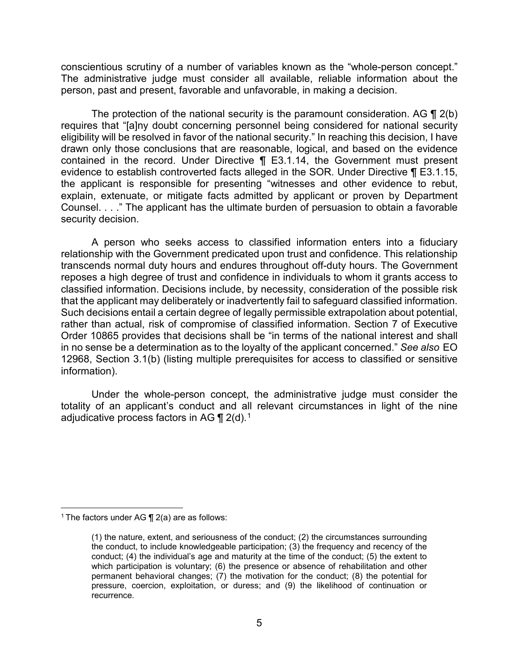conscientious scrutiny of a number of variables known as the "whole-person concept." The administrative judge must consider all available, reliable information about the person, past and present, favorable and unfavorable, in making a decision.

 contained in the record. Under Directive ¶ E3.1.14, the Government must present the applicant is responsible for presenting "witnesses and other evidence to rebut, Counsel. . . ." The applicant has the ultimate burden of persuasion to obtain a favorable The protection of the national security is the paramount consideration. AG ¶ 2(b) requires that "[a]ny doubt concerning personnel being considered for national security eligibility will be resolved in favor of the national security." In reaching this decision, I have drawn only those conclusions that are reasonable, logical, and based on the evidence evidence to establish controverted facts alleged in the SOR. Under Directive ¶ E3.1.15, explain, extenuate, or mitigate facts admitted by applicant or proven by Department security decision.

 transcends normal duty hours and endures throughout off-duty hours. The Government reposes a high degree of trust and confidence in individuals to whom it grants access to that the applicant may deliberately or inadvertently fail to safeguard classified information. Such decisions entail a certain degree of legally permissible extrapolation about potential, Order 10865 provides that decisions shall be "in terms of the national interest and shall 12968, Section 3.1(b) (listing multiple prerequisites for access to classified or sensitive A person who seeks access to classified information enters into a fiduciary relationship with the Government predicated upon trust and confidence. This relationship classified information. Decisions include, by necessity, consideration of the possible risk rather than actual, risk of compromise of classified information. Section 7 of Executive in no sense be a determination as to the loyalty of the applicant concerned." *See also* EO information).

adjudicative process factors in AG  $\P$  2(d). $^1$ Under the whole-person concept, the administrative judge must consider the totality of an applicant's conduct and all relevant circumstances in light of the nine

 $\overline{a}$ <sup>1</sup> The factors under AG  $\P$  2(a) are as follows:

<sup>(1)</sup> the nature, extent, and seriousness of the conduct; (2) the circumstances surrounding the conduct, to include knowledgeable participation; (3) the frequency and recency of the conduct; (4) the individual's age and maturity at the time of the conduct; (5) the extent to which participation is voluntary; (6) the presence or absence of rehabilitation and other permanent behavioral changes; (7) the motivation for the conduct; (8) the potential for pressure, coercion, exploitation, or duress; and (9) the likelihood of continuation or recurrence.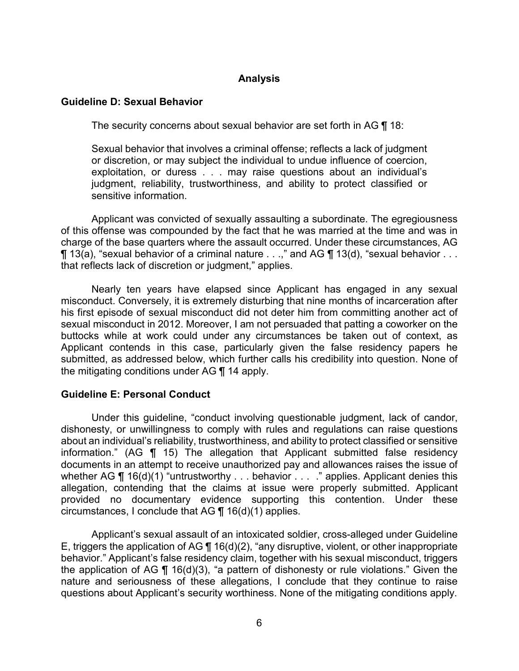### **Analysis**

#### **Guideline D: Sexual Behavior**

The security concerns about sexual behavior are set forth in AG  $\P$  18:

Sexual behavior that involves a criminal offense; reflects a lack of judgment or discretion, or may subject the individual to undue influence of coercion, exploitation, or duress . . . may raise questions about an individual's judgment, reliability, trustworthiness, and ability to protect classified or sensitive information.

 $\P$  13(a), "sexual behavior of a criminal nature  $\ldots$  ," and AG  $\P$  13(d), "sexual behavior  $\ldots$ Applicant was convicted of sexually assaulting a subordinate. The egregiousness of this offense was compounded by the fact that he was married at the time and was in charge of the base quarters where the assault occurred. Under these circumstances, AG that reflects lack of discretion or judgment," applies.

 his first episode of sexual misconduct did not deter him from committing another act of sexual misconduct in 2012. Moreover, I am not persuaded that patting a coworker on the Applicant contends in this case, particularly given the false residency papers he the mitigating conditions under AG ¶ 14 apply. Nearly ten years have elapsed since Applicant has engaged in any sexual misconduct. Conversely, it is extremely disturbing that nine months of incarceration after buttocks while at work could under any circumstances be taken out of context, as submitted, as addressed below, which further calls his credibility into question. None of

#### **Guideline E: Personal Conduct**

 information." (AG ¶ 15) The allegation that Applicant submitted false residency whether AG ¶ 16(d)(1) "untrustworthy . . . behavior . . . ." applies. Applicant denies this circumstances, I conclude that AG  $\P$  16(d)(1) applies. Under this guideline, "conduct involving questionable judgment, lack of candor, dishonesty, or unwillingness to comply with rules and regulations can raise questions about an individual's reliability, trustworthiness, and ability to protect classified or sensitive documents in an attempt to receive unauthorized pay and allowances raises the issue of allegation, contending that the claims at issue were properly submitted. Applicant provided no documentary evidence supporting this contention. Under these

Applicant's sexual assault of an intoxicated soldier, cross-alleged under Guideline E, triggers the application of AG ¶ 16(d)(2), "any disruptive, violent, or other inappropriate behavior." Applicant's false residency claim, together with his sexual misconduct, triggers the application of AG  $\P$  16(d)(3), "a pattern of dishonesty or rule violations." Given the nature and seriousness of these allegations, I conclude that they continue to raise questions about Applicant's security worthiness. None of the mitigating conditions apply.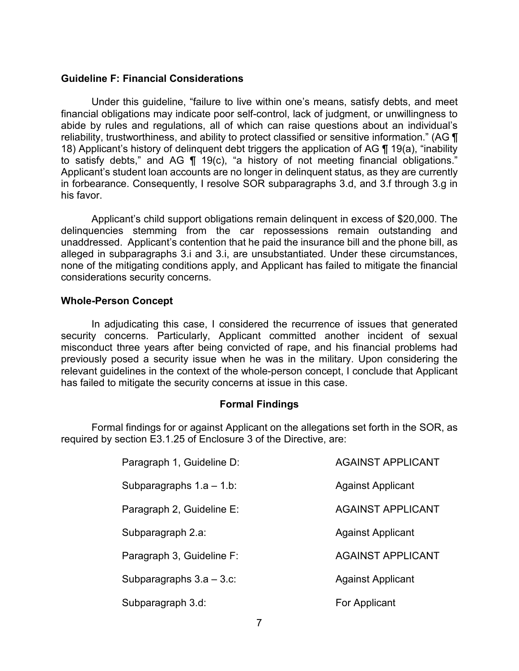#### **Guideline F: Financial Considerations**

Under this guideline, "failure to live within one's means, satisfy debts, and meet financial obligations may indicate poor self-control, lack of judgment, or unwillingness to abide by rules and regulations, all of which can raise questions about an individual's reliability, trustworthiness, and ability to protect classified or sensitive information." (AG ¶ 18) Applicant's history of delinquent debt triggers the application of AG ¶ 19(a), "inability to satisfy debts," and AG ¶ 19(c), "a history of not meeting financial obligations." Applicant's student loan accounts are no longer in delinquent status, as they are currently in forbearance. Consequently, I resolve SOR subparagraphs 3.d, and 3.f through 3.g in his favor.

 Applicant's child support obligations remain delinquent in excess of \$20,000. The unaddressed. Applicant's contention that he paid the insurance bill and the phone bill, as alleged in subparagraphs 3.i and 3.i, are unsubstantiated. Under these circumstances, delinquencies stemming from the car repossessions remain outstanding and none of the mitigating conditions apply, and Applicant has failed to mitigate the financial considerations security concerns.

### **Whole-Person Concept**

In adjudicating this case, I considered the recurrence of issues that generated security concerns. Particularly, Applicant committed another incident of sexual misconduct three years after being convicted of rape, and his financial problems had previously posed a security issue when he was in the military. Upon considering the relevant guidelines in the context of the whole-person concept, I conclude that Applicant has failed to mitigate the security concerns at issue in this case.

### **Formal Findings**

 Formal findings for or against Applicant on the allegations set forth in the SOR, as required by section E3.1.25 of Enclosure 3 of the Directive, are:

| Paragraph 1, Guideline D:   | <b>AGAINST APPLICANT</b> |
|-----------------------------|--------------------------|
| Subparagraphs $1.a - 1.b$ : | <b>Against Applicant</b> |
| Paragraph 2, Guideline E:   | <b>AGAINST APPLICANT</b> |
| Subparagraph 2.a:           | <b>Against Applicant</b> |
| Paragraph 3, Guideline F:   | <b>AGAINST APPLICANT</b> |
| Subparagraphs $3.a - 3.c$ : | <b>Against Applicant</b> |
| Subparagraph 3.d:           | For Applicant            |